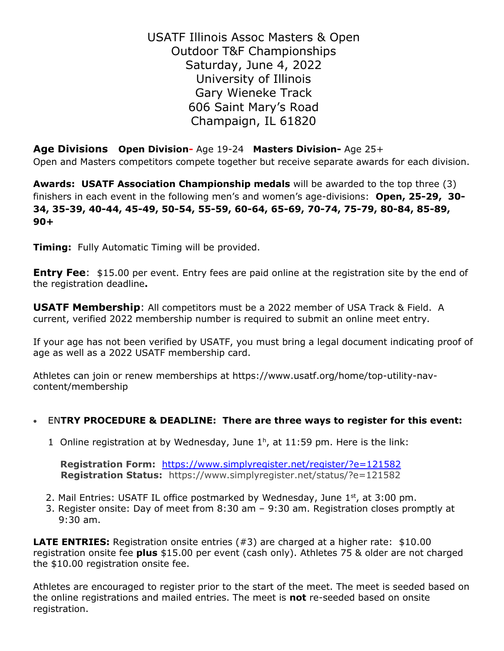USATF Illinois Assoc Masters & Open Outdoor T&F Championships Saturday, June 4, 2022 University of Illinois Gary Wieneke Track 606 Saint Mary's Road Champaign, IL 61820

**Age Divisions Open Division-** Age 19-24 **Masters Division-** Age 25+ Open and Masters competitors compete together but receive separate awards for each division.

**Awards: USATF Association Championship medals** will be awarded to the top three (3) finishers in each event in the following men's and women's age-divisions: **Open, 25-29, 30- 34, 35-39, 40-44, 45-49, 50-54, 55-59, 60-64, 65-69, 70-74, 75-79, 80-84, 85-89, 90+**

**Timing:** Fully Automatic Timing will be provided.

**Entry Fee**: \$15.00 per event. Entry fees are paid online at the registration site by the end of the registration deadline**.** 

**USATF Membership**: All competitors must be a 2022 member of USA Track & Field. A current, verified 2022 membership number is required to submit an online meet entry.

If your age has not been verified by USATF, you must bring a legal document indicating proof of age as well as a 2022 USATF membership card.

Athletes can join or renew memberships at https://www.usatf.org/home/top-utility-navcontent/membership

### • EN**TRY PROCEDURE & DEADLINE: There are three ways to register for this event:**

1 Online registration at by Wednesday, June  $1<sup>h</sup>$ , at 11:59 pm. Here is the link:

 **Registration Form:** <https://www.simplyregister.net/register/?e=121582> **Registration Status:** https://www.simplyregister.net/status/?e=121582

- 2. Mail Entries: USATF IL office postmarked by Wednesday, June  $1<sup>st</sup>$ , at 3:00 pm.
	- 3. Register onsite: Day of meet from 8:30 am 9:30 am. Registration closes promptly at 9:30 am.

**LATE ENTRIES:** Registration onsite entries (#3) are charged at a higher rate: \$10.00 registration onsite fee **plus** \$15.00 per event (cash only). Athletes 75 & older are not charged the \$10.00 registration onsite fee.

Athletes are encouraged to register prior to the start of the meet. The meet is seeded based on the online registrations and mailed entries. The meet is **not** re-seeded based on onsite registration.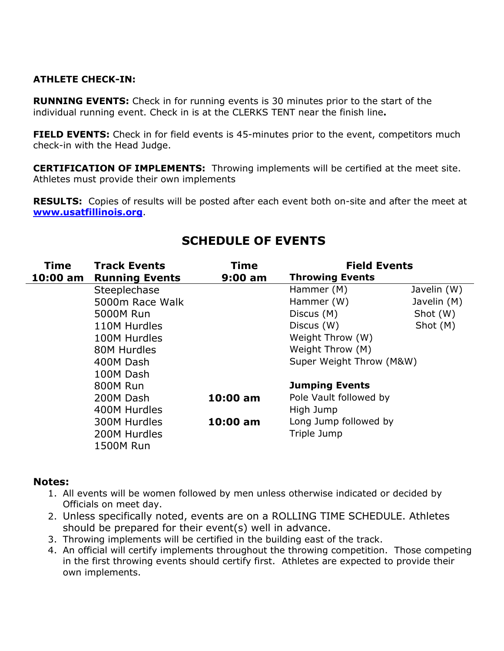### **ATHLETE CHECK-IN:**

**RUNNING EVENTS:** Check in for running events is 30 minutes prior to the start of the individual running event. Check in is at the CLERKS TENT near the finish line**.**

**FIELD EVENTS:** Check in for field events is 45-minutes prior to the event, competitors much check-in with the Head Judge.

**CERTIFICATION OF IMPLEMENTS:** Throwing implements will be certified at the meet site. Athletes must provide their own implements

**RESULTS:** Copies of results will be posted after each event both on-site and after the meet at **[www.usatfillinois.org](http://www.usatfillinois.org/)**.

| <b>Time</b><br>10:00 am | <b>Track Events</b><br><b>Running Events</b> | Time<br>$9:00$ am | <b>Field Events</b><br><b>Throwing Events</b> |             |
|-------------------------|----------------------------------------------|-------------------|-----------------------------------------------|-------------|
|                         | Steeplechase                                 |                   | Hammer (M)                                    | Javelin (W) |
|                         | 5000m Race Walk                              |                   | Hammer (W)                                    | Javelin (M) |
|                         | 5000M Run                                    |                   | Discus (M)                                    | Shot (W)    |
|                         | 110M Hurdles                                 |                   | Discus (W)                                    | Shot (M)    |
|                         | 100M Hurdles                                 |                   | Weight Throw (W)                              |             |
|                         | 80M Hurdles                                  |                   | Weight Throw (M)                              |             |
|                         | 400M Dash                                    |                   | Super Weight Throw (M&W)                      |             |
|                         | 100M Dash                                    |                   |                                               |             |
|                         | 800M Run                                     |                   | <b>Jumping Events</b>                         |             |
|                         | 200M Dash                                    | $10:00$ am        | Pole Vault followed by                        |             |
|                         | 400M Hurdles                                 |                   | High Jump                                     |             |
|                         | 300M Hurdles                                 | $10:00$ am        | Long Jump followed by                         |             |
|                         | 200M Hurdles                                 |                   | Triple Jump                                   |             |
|                         | <b>1500M Run</b>                             |                   |                                               |             |

# **SCHEDULE OF EVENTS**

#### **Notes:**

- 1. All events will be women followed by men unless otherwise indicated or decided by Officials on meet day.
- 2. Unless specifically noted, events are on a ROLLING TIME SCHEDULE. Athletes should be prepared for their event(s) well in advance.
- 3. Throwing implements will be certified in the building east of the track.
- 4. An official will certify implements throughout the throwing competition. Those competing in the first throwing events should certify first. Athletes are expected to provide their own implements.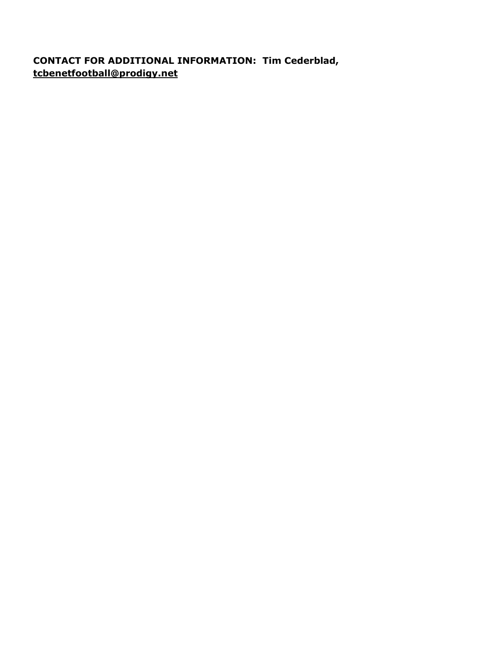## **CONTACT FOR ADDITIONAL INFORMATION: Tim Cederblad, tcbenetfootball@prodigy.net**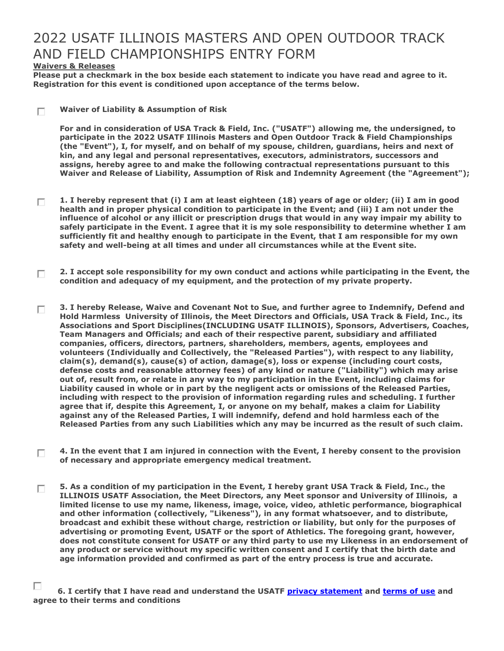# 2022 USATF ILLINOIS MASTERS AND OPEN OUTDOOR TRACK AND FIELD CHAMPIONSHIPS ENTRY FORM

#### **Waivers & Releases**

**Please put a checkmark in the box beside each statement to indicate you have read and agree to it. Registration for this event is conditioned upon acceptance of the terms below.**

**Waiver of Liability & Assumption of Risk** П

> **For and in consideration of USA Track & Field, Inc. ("USATF") allowing me, the undersigned, to participate in the 2022 USATF Illinois Masters and Open Outdoor Track & Field Championships (the "Event"), I, for myself, and on behalf of my spouse, children, guardians, heirs and next of kin, and any legal and personal representatives, executors, administrators, successors and assigns, hereby agree to and make the following contractual representations pursuant to this Waiver and Release of Liability, Assumption of Risk and Indemnity Agreement (the "Agreement");**

- **1. I hereby represent that (i) I am at least eighteen (18) years of age or older; (ii) I am in good**  П. **health and in proper physical condition to participate in the Event; and (iii) I am not under the influence of alcohol or any illicit or prescription drugs that would in any way impair my ability to safely participate in the Event. I agree that it is my sole responsibility to determine whether I am sufficiently fit and healthy enough to participate in the Event, that I am responsible for my own safety and well-being at all times and under all circumstances while at the Event site.**
- **2. I accept sole responsibility for my own conduct and actions while participating in the Event, the**  П. **condition and adequacy of my equipment, and the protection of my private property.**
- **3. I hereby Release, Waive and Covenant Not to Sue, and further agree to Indemnify, Defend and**  П. **Hold Harmless University of Illinois, the Meet Directors and Officials, USA Track & Field, Inc., its Associations and Sport Disciplines(INCLUDING USATF ILLINOIS), Sponsors, Advertisers, Coaches, Team Managers and Officials; and each of their respective parent, subsidiary and affiliated companies, officers, directors, partners, shareholders, members, agents, employees and volunteers (Individually and Collectively, the "Released Parties"), with respect to any liability, claim(s), demand(s), cause(s) of action, damage(s), loss or expense (including court costs, defense costs and reasonable attorney fees) of any kind or nature ("Liability") which may arise out of, result from, or relate in any way to my participation in the Event, including claims for Liability caused in whole or in part by the negligent acts or omissions of the Released Parties, including with respect to the provision of information regarding rules and scheduling. I further agree that if, despite this Agreement, I, or anyone on my behalf, makes a claim for Liability against any of the Released Parties, I will indemnify, defend and hold harmless each of the Released Parties from any such Liabilities which any may be incurred as the result of such claim.**
- **4. In the event that I am injured in connection with the Event, I hereby consent to the provision**  П **of necessary and appropriate emergency medical treatment.**
- **5. As a condition of my participation in the Event, I hereby grant USA Track & Field, Inc., the**  П **ILLINOIS USATF Association, the Meet Directors, any Meet sponsor and University of Illinois, a limited license to use my name, likeness, image, voice, video, athletic performance, biographical and other information (collectively, "Likeness"), in any format whatsoever, and to distribute, broadcast and exhibit these without charge, restriction or liability, but only for the purposes of advertising or promoting Event, USATF or the sport of Athletics. The foregoing grant, however, does not constitute consent for USATF or any third party to use my Likeness in an endorsement of any product or service without my specific written consent and I certify that the birth date and age information provided and confirmed as part of the entry process is true and accurate.**

п  **6. I certify that I have read and understand the USATF [privacy statement](mhtml:file://C:/Documents%20and%20Settings/sbc/My%20Documents/Midwest%20Region%20Master%20Release%20Language%20USATF%20-%20Event%20Entry.mht!https://www.usatf.org/about/privacyStatement.asp) and [terms of use](mhtml:file://C:/Documents%20and%20Settings/sbc/My%20Documents/Midwest%20Region%20Master%20Release%20Language%20USATF%20-%20Event%20Entry.mht!https://www.usatf.org/about/termsOfUse.asp) and agree to their terms and conditions**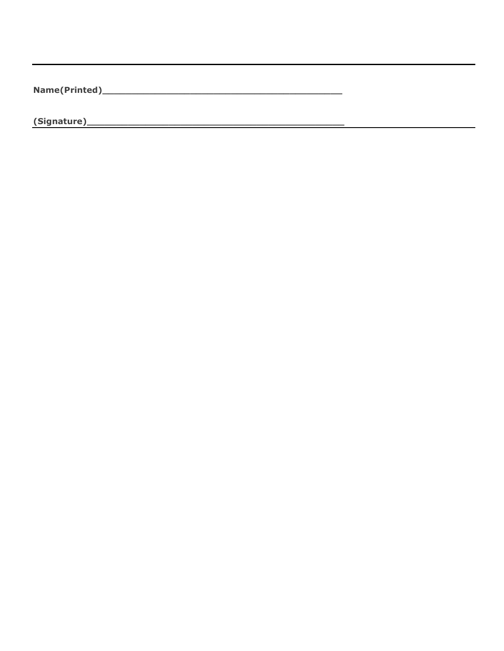$\overline{\phantom{0}}$